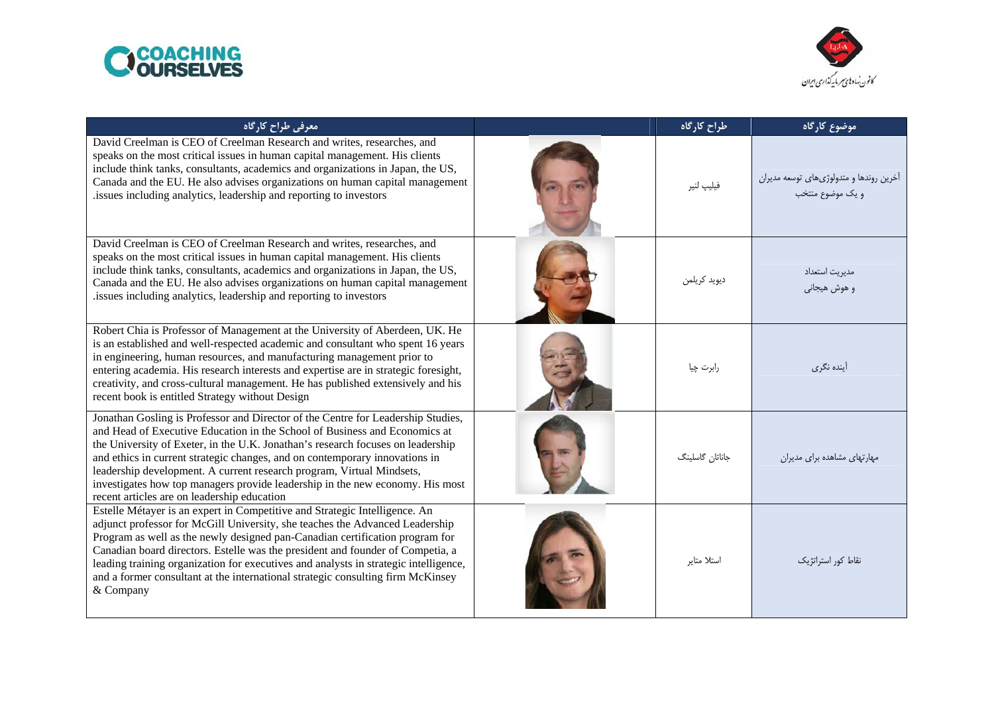



| معرفی طراح کارگاہ                                                                                                                                                                                                                                                                                                                                                                                                                                                                                                                         | طراح كارگاه     | موضوع كارگاه                                                |
|-------------------------------------------------------------------------------------------------------------------------------------------------------------------------------------------------------------------------------------------------------------------------------------------------------------------------------------------------------------------------------------------------------------------------------------------------------------------------------------------------------------------------------------------|-----------------|-------------------------------------------------------------|
| David Creelman is CEO of Creelman Research and writes, researches, and<br>speaks on the most critical issues in human capital management. His clients<br>include think tanks, consultants, academics and organizations in Japan, the US,<br>Canada and the EU. He also advises organizations on human capital management<br>issues including analytics, leadership and reporting to investors                                                                                                                                             | فيليپ لنير      | أخرين روندها و متدولوژىهاى توسعه مديران<br>و یک موضوع منتخب |
| David Creelman is CEO of Creelman Research and writes, researches, and<br>speaks on the most critical issues in human capital management. His clients<br>include think tanks, consultants, academics and organizations in Japan, the US,<br>Canada and the EU. He also advises organizations on human capital management<br>.issues including analytics, leadership and reporting to investors                                                                                                                                            | ديويد كريلمن    | مديريت استعداد<br>و هوش هيجاني                              |
| Robert Chia is Professor of Management at the University of Aberdeen, UK. He<br>is an established and well-respected academic and consultant who spent 16 years<br>in engineering, human resources, and manufacturing management prior to<br>entering academia. His research interests and expertise are in strategic foresight,<br>creativity, and cross-cultural management. He has published extensively and his<br>recent book is entitled Strategy without Design                                                                    | رابرت چيا       | أينده نگر <i>ى</i>                                          |
| Jonathan Gosling is Professor and Director of the Centre for Leadership Studies,<br>and Head of Executive Education in the School of Business and Economics at<br>the University of Exeter, in the U.K. Jonathan's research focuses on leadership<br>and ethics in current strategic changes, and on contemporary innovations in<br>leadership development. A current research program, Virtual Mindsets,<br>investigates how top managers provide leadership in the new economy. His most<br>recent articles are on leadership education | جاناتان گاسلینگ | مهارتهای مشاهده برای مدیران                                 |
| Estelle Métayer is an expert in Competitive and Strategic Intelligence. An<br>adjunct professor for McGill University, she teaches the Advanced Leadership<br>Program as well as the newly designed pan-Canadian certification program for<br>Canadian board directors. Estelle was the president and founder of Competia, a<br>leading training organization for executives and analysts in strategic intelligence,<br>and a former consultant at the international strategic consulting firm McKinsey<br>& Company                      | استلا متاير     | نقاط كور استراتژيك                                          |